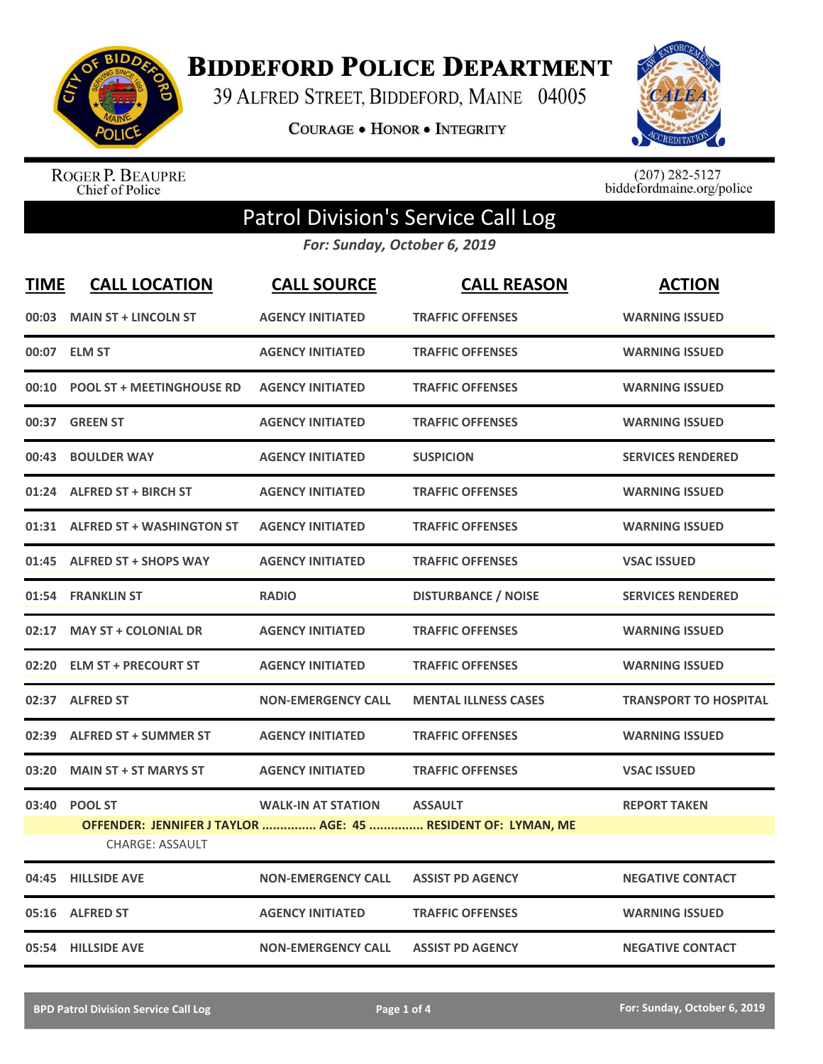

**BIDDEFORD POLICE DEPARTMENT** 

39 ALFRED STREET, BIDDEFORD, MAINE 04005

**COURAGE . HONOR . INTEGRITY** 



ROGER P. BEAUPRE<br>Chief of Police

 $(207)$  282-5127<br>biddefordmaine.org/police

## Patrol Division's Service Call Log

*For: Sunday, October 6, 2019*

| <b>TIME</b> | <b>CALL LOCATION</b>                     | <b>CALL SOURCE</b>        | <b>CALL REASON</b>                                                             | <b>ACTION</b>                |
|-------------|------------------------------------------|---------------------------|--------------------------------------------------------------------------------|------------------------------|
|             | 00:03 MAIN ST + LINCOLN ST               | <b>AGENCY INITIATED</b>   | <b>TRAFFIC OFFENSES</b>                                                        | <b>WARNING ISSUED</b>        |
| 00:07       | <b>ELM ST</b>                            | <b>AGENCY INITIATED</b>   | <b>TRAFFIC OFFENSES</b>                                                        | <b>WARNING ISSUED</b>        |
| 00:10       | <b>POOL ST + MEETINGHOUSE RD</b>         | <b>AGENCY INITIATED</b>   | <b>TRAFFIC OFFENSES</b>                                                        | <b>WARNING ISSUED</b>        |
| 00:37       | <b>GREEN ST</b>                          | <b>AGENCY INITIATED</b>   | <b>TRAFFIC OFFENSES</b>                                                        | <b>WARNING ISSUED</b>        |
| 00:43       | <b>BOULDER WAY</b>                       | <b>AGENCY INITIATED</b>   | <b>SUSPICION</b>                                                               | <b>SERVICES RENDERED</b>     |
|             | 01:24 ALFRED ST + BIRCH ST               | <b>AGENCY INITIATED</b>   | <b>TRAFFIC OFFENSES</b>                                                        | <b>WARNING ISSUED</b>        |
|             | 01:31 ALFRED ST + WASHINGTON ST          | <b>AGENCY INITIATED</b>   | <b>TRAFFIC OFFENSES</b>                                                        | <b>WARNING ISSUED</b>        |
| 01:45       | <b>ALFRED ST + SHOPS WAY</b>             | <b>AGENCY INITIATED</b>   | <b>TRAFFIC OFFENSES</b>                                                        | <b>VSAC ISSUED</b>           |
| 01:54       | <b>FRANKLIN ST</b>                       | <b>RADIO</b>              | <b>DISTURBANCE / NOISE</b>                                                     | <b>SERVICES RENDERED</b>     |
| 02:17       | <b>MAY ST + COLONIAL DR</b>              | <b>AGENCY INITIATED</b>   | <b>TRAFFIC OFFENSES</b>                                                        | <b>WARNING ISSUED</b>        |
|             | 02:20 ELM ST + PRECOURT ST               | <b>AGENCY INITIATED</b>   | <b>TRAFFIC OFFENSES</b>                                                        | <b>WARNING ISSUED</b>        |
| 02:37       | <b>ALFRED ST</b>                         | <b>NON-EMERGENCY CALL</b> | <b>MENTAL ILLNESS CASES</b>                                                    | <b>TRANSPORT TO HOSPITAL</b> |
| 02:39       | <b>ALFRED ST + SUMMER ST</b>             | <b>AGENCY INITIATED</b>   | <b>TRAFFIC OFFENSES</b>                                                        | <b>WARNING ISSUED</b>        |
| 03:20       | <b>MAIN ST + ST MARYS ST</b>             | <b>AGENCY INITIATED</b>   | <b>TRAFFIC OFFENSES</b>                                                        | <b>VSAC ISSUED</b>           |
| 03:40       | <b>POOL ST</b><br><b>CHARGE: ASSAULT</b> | <b>WALK-IN AT STATION</b> | <b>ASSAULT</b><br>OFFENDER: JENNIFER J TAYLOR  AGE: 45  RESIDENT OF: LYMAN, ME | <b>REPORT TAKEN</b>          |
| 04:45       | <b>HILLSIDE AVE</b>                      | <b>NON-EMERGENCY CALL</b> | <b>ASSIST PD AGENCY</b>                                                        | <b>NEGATIVE CONTACT</b>      |
| 05:16       | <b>ALFRED ST</b>                         | <b>AGENCY INITIATED</b>   | <b>TRAFFIC OFFENSES</b>                                                        | <b>WARNING ISSUED</b>        |
|             | 05:54 HILLSIDE AVE                       | <b>NON-EMERGENCY CALL</b> | <b>ASSIST PD AGENCY</b>                                                        | <b>NEGATIVE CONTACT</b>      |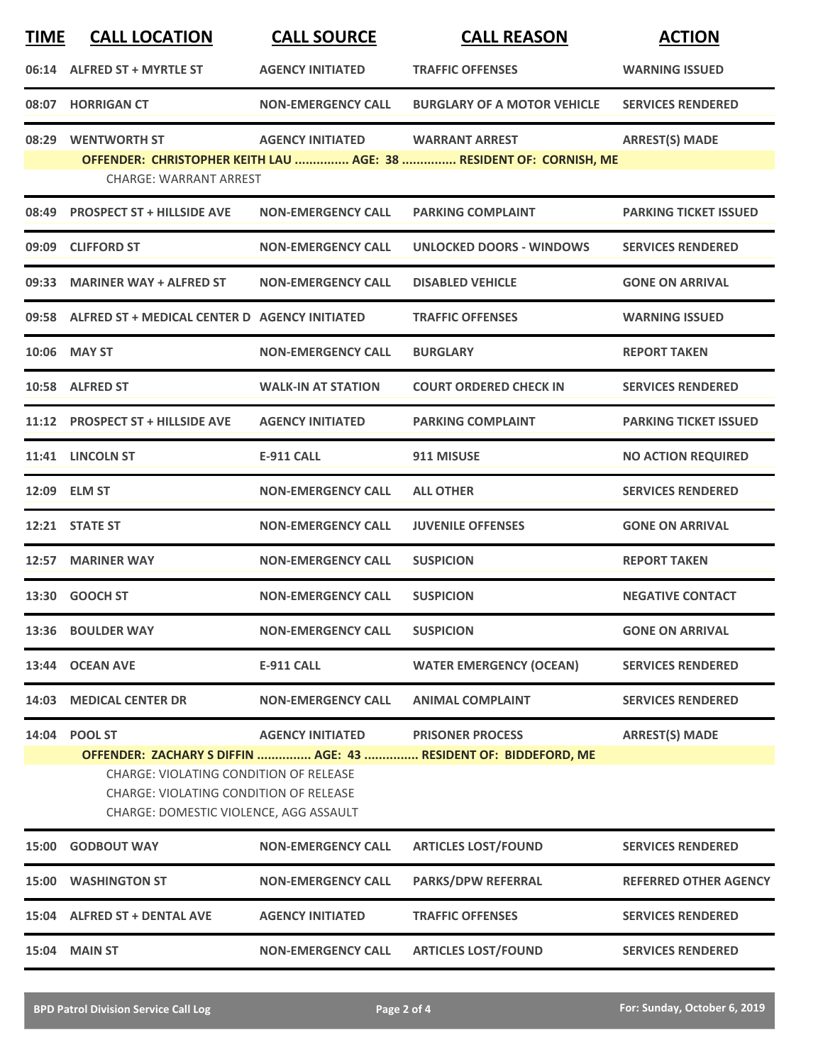| <b>TIME</b> | <b>CALL LOCATION</b>                                                                                                                                                                                                                                    | <b>CALL SOURCE</b>        | <b>CALL REASON</b>                                                                          | <b>ACTION</b>                |
|-------------|---------------------------------------------------------------------------------------------------------------------------------------------------------------------------------------------------------------------------------------------------------|---------------------------|---------------------------------------------------------------------------------------------|------------------------------|
|             | 06:14 ALFRED ST + MYRTLE ST                                                                                                                                                                                                                             | <b>AGENCY INITIATED</b>   | <b>TRAFFIC OFFENSES</b>                                                                     | <b>WARNING ISSUED</b>        |
|             | 08:07 HORRIGAN CT                                                                                                                                                                                                                                       | <b>NON-EMERGENCY CALL</b> | <b>BURGLARY OF A MOTOR VEHICLE</b>                                                          | <b>SERVICES RENDERED</b>     |
|             | 08:29 WENTWORTH ST<br><b>CHARGE: WARRANT ARREST</b>                                                                                                                                                                                                     | <b>AGENCY INITIATED</b>   | <b>WARRANT ARREST</b><br>OFFENDER: CHRISTOPHER KEITH LAU  AGE: 38  RESIDENT OF: CORNISH, ME | <b>ARREST(S) MADE</b>        |
| 08:49       | <b>PROSPECT ST + HILLSIDE AVE</b>                                                                                                                                                                                                                       | <b>NON-EMERGENCY CALL</b> | <b>PARKING COMPLAINT</b>                                                                    | <b>PARKING TICKET ISSUED</b> |
| 09:09       | <b>CLIFFORD ST</b>                                                                                                                                                                                                                                      | <b>NON-EMERGENCY CALL</b> | <b>UNLOCKED DOORS - WINDOWS</b>                                                             | <b>SERVICES RENDERED</b>     |
|             | 09:33 MARINER WAY + ALFRED ST                                                                                                                                                                                                                           | <b>NON-EMERGENCY CALL</b> | <b>DISABLED VEHICLE</b>                                                                     | <b>GONE ON ARRIVAL</b>       |
|             | 09:58 ALFRED ST + MEDICAL CENTER D AGENCY INITIATED                                                                                                                                                                                                     |                           | <b>TRAFFIC OFFENSES</b>                                                                     | <b>WARNING ISSUED</b>        |
|             | 10:06 MAY ST                                                                                                                                                                                                                                            | <b>NON-EMERGENCY CALL</b> | <b>BURGLARY</b>                                                                             | <b>REPORT TAKEN</b>          |
|             | 10:58 ALFRED ST                                                                                                                                                                                                                                         | <b>WALK-IN AT STATION</b> | <b>COURT ORDERED CHECK IN</b>                                                               | <b>SERVICES RENDERED</b>     |
|             | 11:12 PROSPECT ST + HILLSIDE AVE                                                                                                                                                                                                                        | <b>AGENCY INITIATED</b>   | <b>PARKING COMPLAINT</b>                                                                    | <b>PARKING TICKET ISSUED</b> |
|             | 11:41 LINCOLN ST                                                                                                                                                                                                                                        | <b>E-911 CALL</b>         | 911 MISUSE                                                                                  | <b>NO ACTION REQUIRED</b>    |
|             | 12:09 ELM ST                                                                                                                                                                                                                                            | <b>NON-EMERGENCY CALL</b> | <b>ALL OTHER</b>                                                                            | <b>SERVICES RENDERED</b>     |
| 12:21       | <b>STATE ST</b>                                                                                                                                                                                                                                         | <b>NON-EMERGENCY CALL</b> | <b>JUVENILE OFFENSES</b>                                                                    | <b>GONE ON ARRIVAL</b>       |
|             | 12:57 MARINER WAY                                                                                                                                                                                                                                       | <b>NON-EMERGENCY CALL</b> | <b>SUSPICION</b>                                                                            | <b>REPORT TAKEN</b>          |
|             | 13:30 GOOCH ST                                                                                                                                                                                                                                          | <b>NON-EMERGENCY CALL</b> | <b>SUSPICION</b>                                                                            | <b>NEGATIVE CONTACT</b>      |
|             | 13:36 BOULDER WAY                                                                                                                                                                                                                                       | <b>NON-EMERGENCY CALL</b> | <b>SUSPICION</b>                                                                            | <b>GONE ON ARRIVAL</b>       |
| 13:44       | <b>OCEAN AVE</b>                                                                                                                                                                                                                                        | <b>E-911 CALL</b>         | <b>WATER EMERGENCY (OCEAN)</b>                                                              | <b>SERVICES RENDERED</b>     |
|             | 14:03 MEDICAL CENTER DR                                                                                                                                                                                                                                 | <b>NON-EMERGENCY CALL</b> | <b>ANIMAL COMPLAINT</b>                                                                     | <b>SERVICES RENDERED</b>     |
|             | 14:04 POOL ST<br><b>AGENCY INITIATED</b><br>OFFENDER: ZACHARY S DIFFIN  AGE: 43  RESIDENT OF: BIDDEFORD, ME<br><b>CHARGE: VIOLATING CONDITION OF RELEASE</b><br><b>CHARGE: VIOLATING CONDITION OF RELEASE</b><br>CHARGE: DOMESTIC VIOLENCE, AGG ASSAULT |                           | <b>PRISONER PROCESS</b>                                                                     | <b>ARREST(S) MADE</b>        |
|             | 15:00 GODBOUT WAY                                                                                                                                                                                                                                       | <b>NON-EMERGENCY CALL</b> | <b>ARTICLES LOST/FOUND</b>                                                                  | <b>SERVICES RENDERED</b>     |
|             | 15:00 WASHINGTON ST                                                                                                                                                                                                                                     | <b>NON-EMERGENCY CALL</b> | <b>PARKS/DPW REFERRAL</b>                                                                   | <b>REFERRED OTHER AGENCY</b> |
|             | 15:04 ALFRED ST + DENTAL AVE                                                                                                                                                                                                                            | <b>AGENCY INITIATED</b>   | <b>TRAFFIC OFFENSES</b>                                                                     | <b>SERVICES RENDERED</b>     |
| 15:04       | <b>MAIN ST</b>                                                                                                                                                                                                                                          | <b>NON-EMERGENCY CALL</b> | <b>ARTICLES LOST/FOUND</b>                                                                  | <b>SERVICES RENDERED</b>     |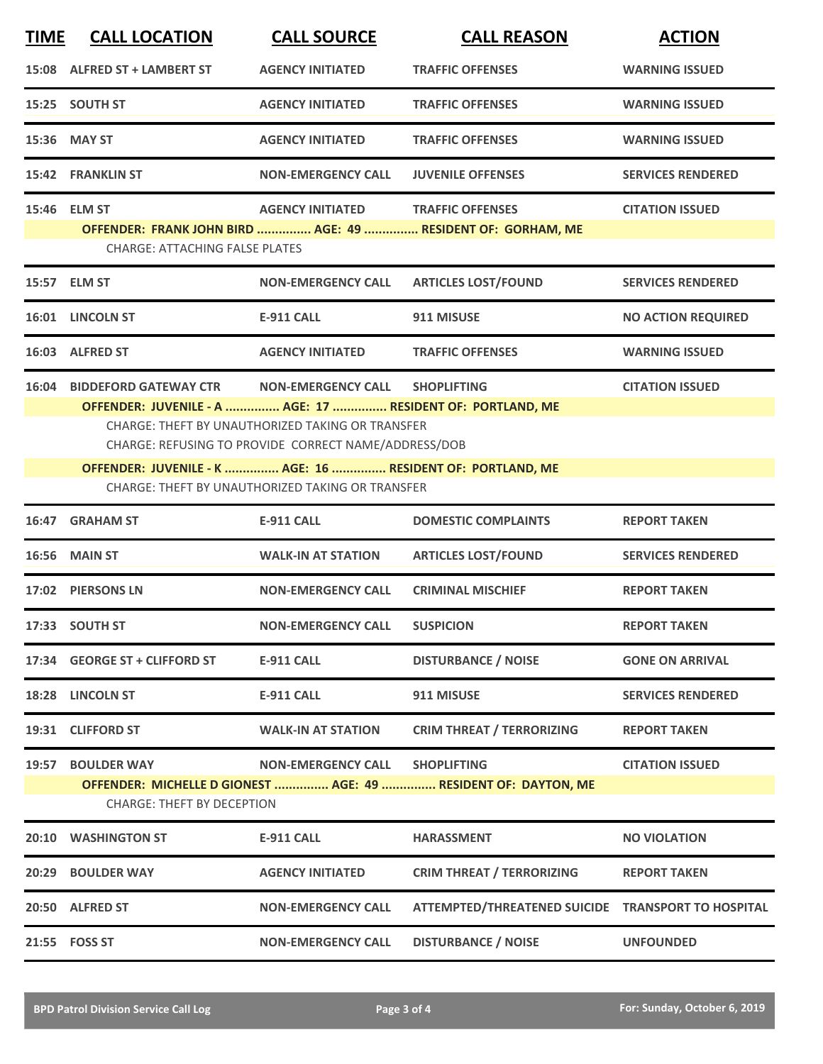| <b>TIME</b> | <b>CALL LOCATION</b>                                                                                                                                                                                                                                                                                                                                                                                         | <b>CALL SOURCE</b>        | <b>CALL REASON</b>                                                                     | <b>ACTION</b>             |  |  |
|-------------|--------------------------------------------------------------------------------------------------------------------------------------------------------------------------------------------------------------------------------------------------------------------------------------------------------------------------------------------------------------------------------------------------------------|---------------------------|----------------------------------------------------------------------------------------|---------------------------|--|--|
|             | 15:08 ALFRED ST + LAMBERT ST                                                                                                                                                                                                                                                                                                                                                                                 | <b>AGENCY INITIATED</b>   | <b>TRAFFIC OFFENSES</b>                                                                | <b>WARNING ISSUED</b>     |  |  |
|             | 15:25 SOUTH ST                                                                                                                                                                                                                                                                                                                                                                                               | <b>AGENCY INITIATED</b>   | <b>TRAFFIC OFFENSES</b>                                                                | <b>WARNING ISSUED</b>     |  |  |
|             | 15:36 MAY ST                                                                                                                                                                                                                                                                                                                                                                                                 | <b>AGENCY INITIATED</b>   | <b>TRAFFIC OFFENSES</b>                                                                | <b>WARNING ISSUED</b>     |  |  |
|             | <b>15:42 FRANKLIN ST</b>                                                                                                                                                                                                                                                                                                                                                                                     | <b>NON-EMERGENCY CALL</b> | <b>JUVENILE OFFENSES</b>                                                               | <b>SERVICES RENDERED</b>  |  |  |
|             | 15:46 ELM ST<br><b>CHARGE: ATTACHING FALSE PLATES</b>                                                                                                                                                                                                                                                                                                                                                        | <b>AGENCY INITIATED</b>   | <b>TRAFFIC OFFENSES</b><br>OFFENDER: FRANK JOHN BIRD  AGE: 49  RESIDENT OF: GORHAM, ME | <b>CITATION ISSUED</b>    |  |  |
|             | 15:57 ELM ST                                                                                                                                                                                                                                                                                                                                                                                                 | <b>NON-EMERGENCY CALL</b> | <b>ARTICLES LOST/FOUND</b>                                                             | <b>SERVICES RENDERED</b>  |  |  |
|             | 16:01 LINCOLN ST                                                                                                                                                                                                                                                                                                                                                                                             | <b>E-911 CALL</b>         | 911 MISUSE                                                                             | <b>NO ACTION REQUIRED</b> |  |  |
|             | 16:03 ALFRED ST                                                                                                                                                                                                                                                                                                                                                                                              | <b>AGENCY INITIATED</b>   | <b>TRAFFIC OFFENSES</b>                                                                | <b>WARNING ISSUED</b>     |  |  |
| 16:04       | <b>BIDDEFORD GATEWAY CTR</b><br><b>NON-EMERGENCY CALL</b><br><b>SHOPLIFTING</b><br><b>CITATION ISSUED</b><br>OFFENDER: JUVENILE - A  AGE: 17  RESIDENT OF: PORTLAND, ME<br><b>CHARGE: THEFT BY UNAUTHORIZED TAKING OR TRANSFER</b><br>CHARGE: REFUSING TO PROVIDE CORRECT NAME/ADDRESS/DOB<br>OFFENDER: JUVENILE - K  AGE: 16  RESIDENT OF: PORTLAND, ME<br>CHARGE: THEFT BY UNAUTHORIZED TAKING OR TRANSFER |                           |                                                                                        |                           |  |  |
|             | 16:47 GRAHAM ST                                                                                                                                                                                                                                                                                                                                                                                              | <b>E-911 CALL</b>         | <b>DOMESTIC COMPLAINTS</b>                                                             | <b>REPORT TAKEN</b>       |  |  |
|             | <b>16:56 MAIN ST</b>                                                                                                                                                                                                                                                                                                                                                                                         | <b>WALK-IN AT STATION</b> | <b>ARTICLES LOST/FOUND</b>                                                             | <b>SERVICES RENDERED</b>  |  |  |
|             | 17:02 PIERSONS LN                                                                                                                                                                                                                                                                                                                                                                                            | <b>NON-EMERGENCY CALL</b> | <b>CRIMINAL MISCHIEF</b>                                                               | <b>REPORT TAKEN</b>       |  |  |
|             | 17:33 SOUTH ST                                                                                                                                                                                                                                                                                                                                                                                               | <b>NON-EMERGENCY CALL</b> | <b>SUSPICION</b>                                                                       | <b>REPORT TAKEN</b>       |  |  |
|             | 17:34 GEORGE ST + CLIFFORD ST                                                                                                                                                                                                                                                                                                                                                                                | <b>E-911 CALL</b>         | <b>DISTURBANCE / NOISE</b>                                                             | <b>GONE ON ARRIVAL</b>    |  |  |
| 18:28       | <b>LINCOLN ST</b>                                                                                                                                                                                                                                                                                                                                                                                            | E-911 CALL                | 911 MISUSE                                                                             | <b>SERVICES RENDERED</b>  |  |  |
|             | 19:31 CLIFFORD ST                                                                                                                                                                                                                                                                                                                                                                                            | <b>WALK-IN AT STATION</b> | <b>CRIM THREAT / TERRORIZING</b>                                                       | <b>REPORT TAKEN</b>       |  |  |
| 19:57       | <b>BOULDER WAY</b><br><b>CHARGE: THEFT BY DECEPTION</b>                                                                                                                                                                                                                                                                                                                                                      | <b>NON-EMERGENCY CALL</b> | <b>SHOPLIFTING</b><br>OFFENDER: MICHELLE D GIONEST  AGE: 49  RESIDENT OF: DAYTON, ME   | <b>CITATION ISSUED</b>    |  |  |
|             | 20:10 WASHINGTON ST                                                                                                                                                                                                                                                                                                                                                                                          | <b>E-911 CALL</b>         | <b>HARASSMENT</b>                                                                      | <b>NO VIOLATION</b>       |  |  |
| 20:29       | <b>BOULDER WAY</b>                                                                                                                                                                                                                                                                                                                                                                                           | <b>AGENCY INITIATED</b>   | <b>CRIM THREAT / TERRORIZING</b>                                                       | <b>REPORT TAKEN</b>       |  |  |
|             | 20:50 ALFRED ST                                                                                                                                                                                                                                                                                                                                                                                              | <b>NON-EMERGENCY CALL</b> | ATTEMPTED/THREATENED SUICIDE TRANSPORT TO HOSPITAL                                     |                           |  |  |
|             | 21:55 FOSS ST                                                                                                                                                                                                                                                                                                                                                                                                | <b>NON-EMERGENCY CALL</b> | <b>DISTURBANCE / NOISE</b>                                                             | <b>UNFOUNDED</b>          |  |  |